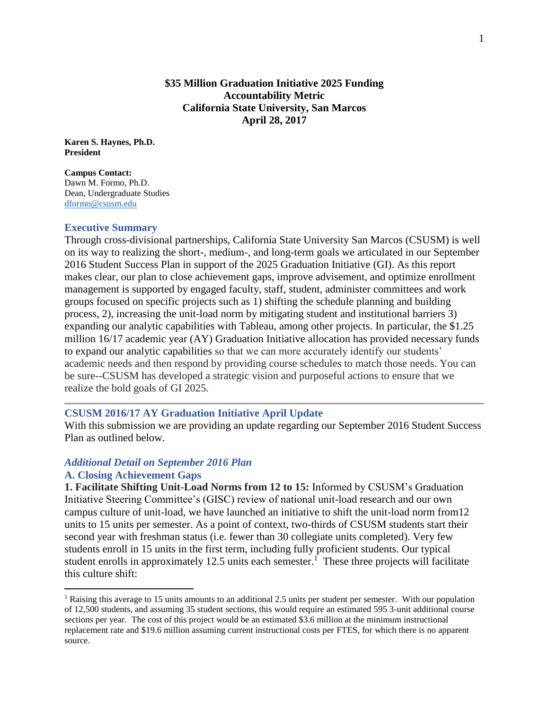## **\$35 Million Graduation Initiative 2025 Funding Accountability Metric California State University, San Marcos April 28, 2017**

**Karen S. Haynes, Ph.D. President** 

**Campus Contact:** Dawn M. Formo, Ph.D. Dean, Undergraduate Studies [dformo@csusm.edu](mailto:dformo@csusm.edu)

### **Executive Summary**

Through cross-divisional partnerships, California State University San Marcos (CSUSM) is well on its way to realizing the short-, medium-, and long-term goals we articulated in our September 2016 Student Success Plan in support of the 2025 Graduation Initiative (GI). As this report makes clear, our plan to close achievement gaps, improve advisement, and optimize enrollment management is supported by engaged faculty, staff, student, administer committees and work groups focused on specific projects such as 1) shifting the schedule planning and building process, 2), increasing the unit-load norm by mitigating student and institutional barriers 3) expanding our analytic capabilities with Tableau, among other projects. In particular, the \$1.25 million 16/17 academic year (AY) Graduation Initiative allocation has provided necessary funds to expand our analytic capabilities so that we can more accurately identify our students' academic needs and then respond by providing course schedules to match those needs. You can be sure--CSUSM has developed a strategic vision and purposeful actions to ensure that we realize the bold goals of GI 2025.

### **CSUSM 2016/17 AY Graduation Initiative April Update**

With this submission we are providing an update regarding our September 2016 Student Success Plan as outlined below.

### *Additional Detail on September 2016 Plan*

### **A. Closing Achievement Gaps**

 $\overline{a}$ 

**1. Facilitate Shifting Unit-Load Norms from 12 to 15:** Informed by CSUSM's Graduation Initiative Steering Committee's (GISC) review of national unit-load research and our own campus culture of unit-load, we have launched an initiative to shift the unit-load norm from12 units to 15 units per semester. As a point of context, two-thirds of CSUSM students start their second year with freshman status (i.e. fewer than 30 collegiate units completed). Very few students enroll in 15 units in the first term, including fully proficient students. Our typical student enrolls in approximately 12.5 units each semester.<sup>1</sup> These three projects will facilitate this culture shift:

<sup>&</sup>lt;sup>1</sup> Raising this average to 15 units amounts to an additional 2.5 units per student per semester. With our population of 12,500 students, and assuming 35 student sections, this would require an estimated 595 3-unit additional course sections per year. The cost of this project would be an estimated \$3.6 million at the minimum instructional replacement rate and \$19.6 million assuming current instructional costs per FTES, for which there is no apparent source.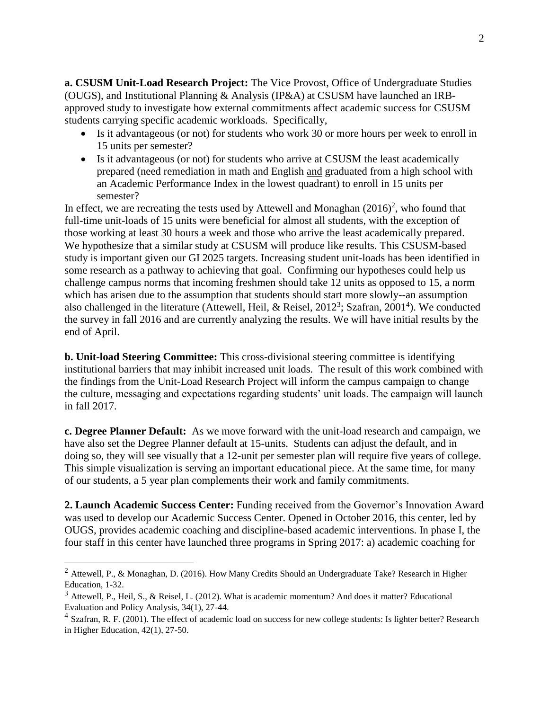**a. CSUSM Unit-Load Research Project:** The Vice Provost, Office of Undergraduate Studies (OUGS), and Institutional Planning & Analysis (IP&A) at CSUSM have launched an IRBapproved study to investigate how external commitments affect academic success for CSUSM students carrying specific academic workloads. Specifically,

- Is it advantageous (or not) for students who work 30 or more hours per week to enroll in 15 units per semester?
- Is it advantageous (or not) for students who arrive at CSUSM the least academically prepared (need remediation in math and English and graduated from a high school with an Academic Performance Index in the lowest quadrant) to enroll in 15 units per semester?

In effect, we are recreating the tests used by Attewell and Monaghan  $(2016)^2$ , who found that full-time unit-loads of 15 units were beneficial for almost all students, with the exception of those working at least 30 hours a week and those who arrive the least academically prepared. We hypothesize that a similar study at CSUSM will produce like results. This CSUSM-based study is important given our GI 2025 targets. Increasing student unit-loads has been identified in some research as a pathway to achieving that goal. Confirming our hypotheses could help us challenge campus norms that incoming freshmen should take 12 units as opposed to 15, a norm which has arisen due to the assumption that students should start more slowly--an assumption also challenged in the literature (Attewell, Heil, & Reisel,  $2012<sup>3</sup>$ ; Szafran,  $2001<sup>4</sup>$ ). We conducted the survey in fall 2016 and are currently analyzing the results. We will have initial results by the end of April.

**b. Unit-load Steering Committee:** This cross-divisional steering committee is identifying institutional barriers that may inhibit increased unit loads. The result of this work combined with the findings from the Unit-Load Research Project will inform the campus campaign to change the culture, messaging and expectations regarding students' unit loads. The campaign will launch in fall 2017.

**c. Degree Planner Default:** As we move forward with the unit-load research and campaign, we have also set the Degree Planner default at 15-units. Students can adjust the default, and in doing so, they will see visually that a 12-unit per semester plan will require five years of college. This simple visualization is serving an important educational piece. At the same time, for many of our students, a 5 year plan complements their work and family commitments.

**2. Launch Academic Success Center:** Funding received from the Governor's Innovation Award was used to develop our Academic Success Center. Opened in October 2016, this center, led by OUGS, provides academic coaching and discipline-based academic interventions. In phase I, the four staff in this center have launched three programs in Spring 2017: a) academic coaching for

 $\overline{a}$ 

<sup>2</sup> Attewell, P., & Monaghan, D. (2016). How Many Credits Should an Undergraduate Take? Research in Higher Education, 1-32.

<sup>&</sup>lt;sup>3</sup> Attewell, P., Heil, S., & Reisel, L. (2012). What is academic momentum? And does it matter? Educational Evaluation and Policy Analysis, 34(1), 27-44.

 $<sup>4</sup>$  Szafran, R. F. (2001). The effect of academic load on success for new college students: Is lighter better? Research</sup> in Higher Education, 42(1), 27-50.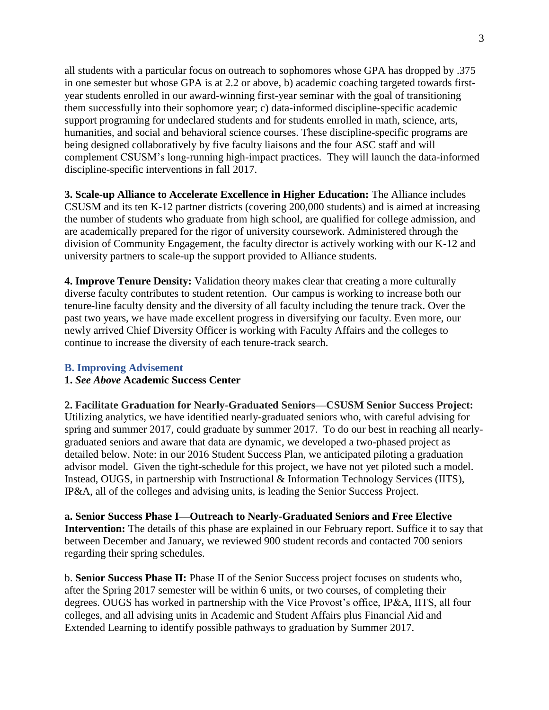all students with a particular focus on outreach to sophomores whose GPA has dropped by .375 in one semester but whose GPA is at 2.2 or above, b) academic coaching targeted towards firstyear students enrolled in our award-winning first-year seminar with the goal of transitioning them successfully into their sophomore year; c) data-informed discipline-specific academic support programing for undeclared students and for students enrolled in math, science, arts, humanities, and social and behavioral science courses. These discipline-specific programs are being designed collaboratively by five faculty liaisons and the four ASC staff and will complement CSUSM's long-running high-impact practices. They will launch the data-informed discipline-specific interventions in fall 2017.

**3. Scale-up Alliance to Accelerate Excellence in Higher Education:** The Alliance includes CSUSM and its ten K-12 partner districts (covering 200,000 students) and is aimed at increasing the number of students who graduate from high school, are qualified for college admission, and are academically prepared for the rigor of university coursework. Administered through the division of Community Engagement, the faculty director is actively working with our K-12 and university partners to scale-up the support provided to Alliance students.

**4. Improve Tenure Density:** Validation theory makes clear that creating a more culturally diverse faculty contributes to student retention. Our campus is working to increase both our tenure-line faculty density and the diversity of all faculty including the tenure track. Over the past two years, we have made excellent progress in diversifying our faculty. Even more, our newly arrived Chief Diversity Officer is working with Faculty Affairs and the colleges to continue to increase the diversity of each tenure-track search.

### **B. Improving Advisement**

### **1.** *See Above* **Academic Success Center**

**2. Facilitate Graduation for Nearly-Graduated Seniors—CSUSM Senior Success Project:**  Utilizing analytics, we have identified nearly-graduated seniors who, with careful advising for spring and summer 2017, could graduate by summer 2017. To do our best in reaching all nearlygraduated seniors and aware that data are dynamic, we developed a two-phased project as detailed below. Note: in our 2016 Student Success Plan, we anticipated piloting a graduation advisor model. Given the tight-schedule for this project, we have not yet piloted such a model. Instead, OUGS, in partnership with Instructional & Information Technology Services (IITS), IP&A, all of the colleges and advising units, is leading the Senior Success Project.

**a. Senior Success Phase I—Outreach to Nearly-Graduated Seniors and Free Elective Intervention:** The details of this phase are explained in our February report. Suffice it to say that between December and January, we reviewed 900 student records and contacted 700 seniors regarding their spring schedules.

b. **Senior Success Phase II:** Phase II of the Senior Success project focuses on students who, after the Spring 2017 semester will be within 6 units, or two courses, of completing their degrees. OUGS has worked in partnership with the Vice Provost's office, IP&A, IITS, all four colleges, and all advising units in Academic and Student Affairs plus Financial Aid and Extended Learning to identify possible pathways to graduation by Summer 2017.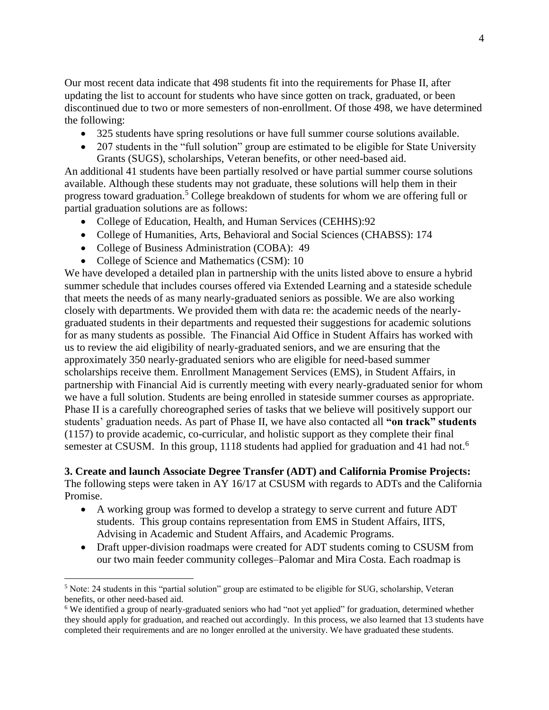Our most recent data indicate that 498 students fit into the requirements for Phase II, after updating the list to account for students who have since gotten on track, graduated, or been discontinued due to two or more semesters of non-enrollment. Of those 498, we have determined the following:

- 325 students have spring resolutions or have full summer course solutions available.
- 207 students in the "full solution" group are estimated to be eligible for State University Grants (SUGS), scholarships, Veteran benefits, or other need-based aid.

An additional 41 students have been partially resolved or have partial summer course solutions available. Although these students may not graduate, these solutions will help them in their progress toward graduation.<sup>5</sup> College breakdown of students for whom we are offering full or partial graduation solutions are as follows:

- College of Education, Health, and Human Services (CEHHS):92
- College of Humanities, Arts, Behavioral and Social Sciences (CHABSS): 174
- College of Business Administration (COBA): 49
- College of Science and Mathematics (CSM): 10

 $\overline{a}$ 

We have developed a detailed plan in partnership with the units listed above to ensure a hybrid summer schedule that includes courses offered via Extended Learning and a stateside schedule that meets the needs of as many nearly-graduated seniors as possible. We are also working closely with departments. We provided them with data re: the academic needs of the nearlygraduated students in their departments and requested their suggestions for academic solutions for as many students as possible. The Financial Aid Office in Student Affairs has worked with us to review the aid eligibility of nearly-graduated seniors, and we are ensuring that the approximately 350 nearly-graduated seniors who are eligible for need-based summer scholarships receive them. Enrollment Management Services (EMS), in Student Affairs, in partnership with Financial Aid is currently meeting with every nearly-graduated senior for whom we have a full solution. Students are being enrolled in stateside summer courses as appropriate. Phase II is a carefully choreographed series of tasks that we believe will positively support our students' graduation needs. As part of Phase II, we have also contacted all **"on track" students** (1157) to provide academic, co-curricular, and holistic support as they complete their final semester at CSUSM. In this group, 1118 students had applied for graduation and 41 had not.<sup>6</sup>

# **3. Create and launch Associate Degree Transfer (ADT) and California Promise Projects:**

The following steps were taken in AY 16/17 at CSUSM with regards to ADTs and the California Promise.

- A working group was formed to develop a strategy to serve current and future ADT students. This group contains representation from EMS in Student Affairs, IITS, Advising in Academic and Student Affairs, and Academic Programs.
- Draft upper-division roadmaps were created for ADT students coming to CSUSM from our two main feeder community colleges–Palomar and Mira Costa. Each roadmap is

<sup>5</sup> Note: 24 students in this "partial solution" group are estimated to be eligible for SUG, scholarship, Veteran benefits, or other need-based aid.

<sup>&</sup>lt;sup>6</sup> We identified a group of nearly-graduated seniors who had "not yet applied" for graduation, determined whether they should apply for graduation, and reached out accordingly. In this process, we also learned that 13 students have completed their requirements and are no longer enrolled at the university. We have graduated these students.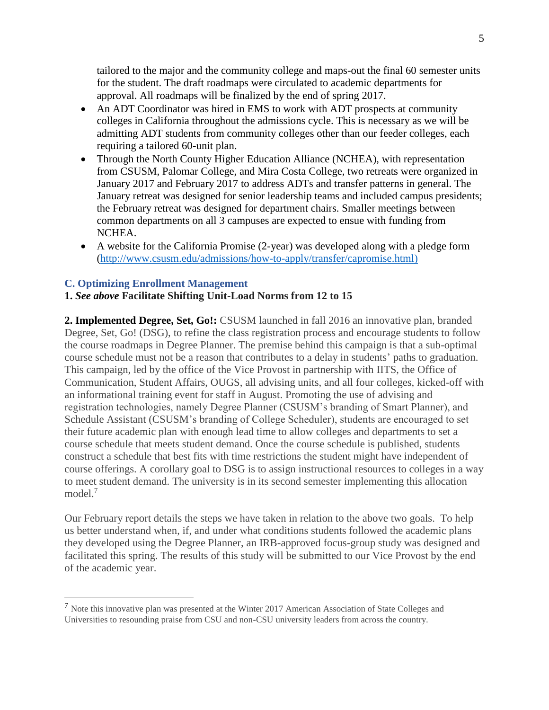tailored to the major and the community college and maps-out the final 60 semester units for the student. The draft roadmaps were circulated to academic departments for approval. All roadmaps will be finalized by the end of spring 2017.

- An ADT Coordinator was hired in EMS to work with ADT prospects at community colleges in California throughout the admissions cycle. This is necessary as we will be admitting ADT students from community colleges other than our feeder colleges, each requiring a tailored 60-unit plan.
- Through the North County Higher Education Alliance (NCHEA), with representation from CSUSM, Palomar College, and Mira Costa College, two retreats were organized in January 2017 and February 2017 to address ADTs and transfer patterns in general. The January retreat was designed for senior leadership teams and included campus presidents; the February retreat was designed for department chairs. Smaller meetings between common departments on all 3 campuses are expected to ensue with funding from NCHEA.
- A website for the California Promise (2-year) was developed along with a pledge form [\(http://www.csusm.edu/admissions/how-to-apply/transfer/capromise.html\)](http://www.csusm.edu/admissions/how-to-apply/transfer/capromise.html))

# **C. Optimizing Enrollment Management**

 $\overline{a}$ 

### **1.** *See above* **Facilitate Shifting Unit-Load Norms from 12 to 15**

**2. Implemented Degree, Set, Go!:** CSUSM launched in fall 2016 an innovative plan, branded Degree, Set, Go! (DSG), to refine the class registration process and encourage students to follow the course roadmaps in Degree Planner. The premise behind this campaign is that a sub-optimal course schedule must not be a reason that contributes to a delay in students' paths to graduation. This campaign, led by the office of the Vice Provost in partnership with IITS, the Office of Communication, Student Affairs, OUGS, all advising units, and all four colleges, kicked-off with an informational training event for staff in August. Promoting the use of advising and registration technologies, namely Degree Planner (CSUSM's branding of Smart Planner), and Schedule Assistant (CSUSM's branding of College Scheduler), students are encouraged to set their future academic plan with enough lead time to allow colleges and departments to set a course schedule that meets student demand. Once the course schedule is published, students construct a schedule that best fits with time restrictions the student might have independent of course offerings. A corollary goal to DSG is to assign instructional resources to colleges in a way to meet student demand. The university is in its second semester implementing this allocation model.<sup>7</sup>

Our February report details the steps we have taken in relation to the above two goals. To help us better understand when, if, and under what conditions students followed the academic plans they developed using the Degree Planner, an IRB-approved focus-group study was designed and facilitated this spring. The results of this study will be submitted to our Vice Provost by the end of the academic year.

<sup>7</sup> Note this innovative plan was presented at the Winter 2017 American Association of State Colleges and Universities to resounding praise from CSU and non-CSU university leaders from across the country.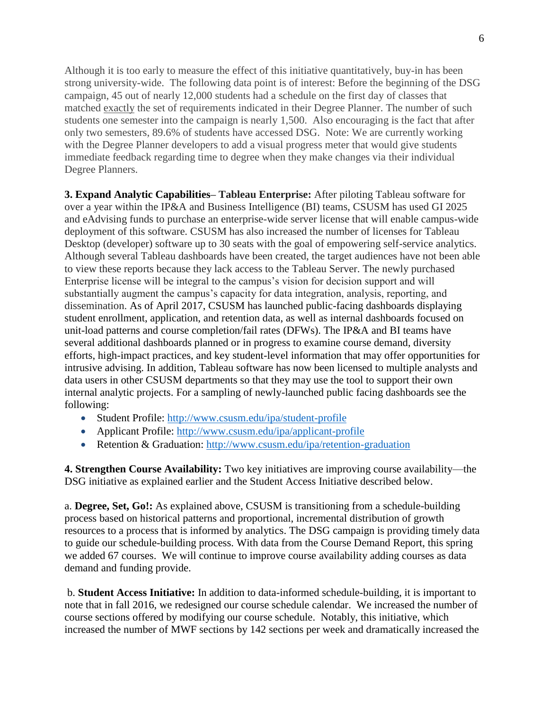Although it is too early to measure the effect of this initiative quantitatively, buy-in has been strong university-wide. The following data point is of interest: Before the beginning of the DSG campaign, 45 out of nearly 12,000 students had a schedule on the first day of classes that matched exactly the set of requirements indicated in their Degree Planner. The number of such students one semester into the campaign is nearly 1,500. Also encouraging is the fact that after only two semesters, 89.6% of students have accessed DSG. Note: We are currently working with the Degree Planner developers to add a visual progress meter that would give students immediate feedback regarding time to degree when they make changes via their individual Degree Planners.

**3. Expand Analytic Capabilities– Tableau Enterprise:** After piloting Tableau software for over a year within the IP&A and Business Intelligence (BI) teams, CSUSM has used GI 2025 and eAdvising funds to purchase an enterprise-wide server license that will enable campus-wide deployment of this software. CSUSM has also increased the number of licenses for Tableau Desktop (developer) software up to 30 seats with the goal of empowering self-service analytics. Although several Tableau dashboards have been created, the target audiences have not been able to view these reports because they lack access to the Tableau Server. The newly purchased Enterprise license will be integral to the campus's vision for decision support and will substantially augment the campus's capacity for data integration, analysis, reporting, and dissemination. As of April 2017, CSUSM has launched public-facing dashboards displaying student enrollment, application, and retention data, as well as internal dashboards focused on unit-load patterns and course completion/fail rates (DFWs). The IP&A and BI teams have several additional dashboards planned or in progress to examine course demand, diversity efforts, high-impact practices, and key student-level information that may offer opportunities for intrusive advising. In addition, Tableau software has now been licensed to multiple analysts and data users in other CSUSM departments so that they may use the tool to support their own internal analytic projects. For a sampling of newly-launched public facing dashboards see the following:

- Student Profile:<http://www.csusm.edu/ipa/student-profile>
- Applicant Profile: <http://www.csusm.edu/ipa/applicant-profile>
- Retention & Graduation: <http://www.csusm.edu/ipa/retention-graduation>

**4. Strengthen Course Availability:** Two key initiatives are improving course availability—the DSG initiative as explained earlier and the Student Access Initiative described below.

a. **Degree, Set, Go!:** As explained above, CSUSM is transitioning from a schedule-building process based on historical patterns and proportional, incremental distribution of growth resources to a process that is informed by analytics. The DSG campaign is providing timely data to guide our schedule-building process. With data from the Course Demand Report, this spring we added 67 courses. We will continue to improve course availability adding courses as data demand and funding provide.

b. **Student Access Initiative:** In addition to data-informed schedule-building, it is important to note that in fall 2016, we redesigned our course schedule calendar. We increased the number of course sections offered by modifying our course schedule. Notably, this initiative, which increased the number of MWF sections by 142 sections per week and dramatically increased the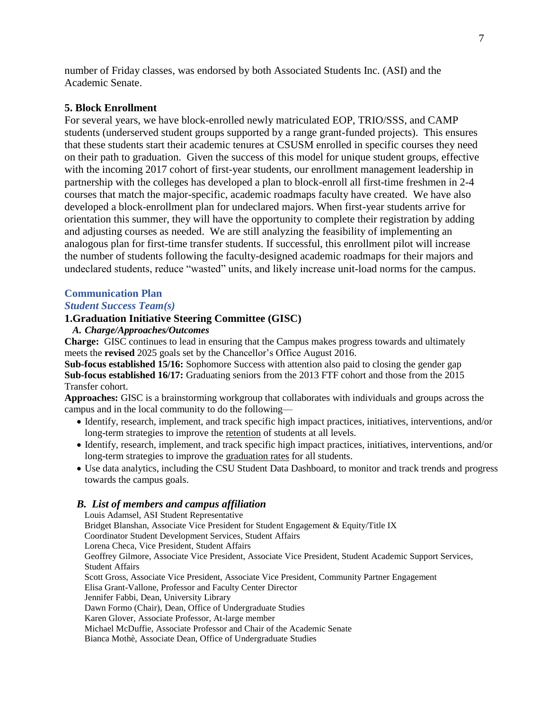number of Friday classes, was endorsed by both Associated Students Inc. (ASI) and the Academic Senate.

### **5. Block Enrollment**

For several years, we have block-enrolled newly matriculated EOP, TRIO/SSS, and CAMP students (underserved student groups supported by a range grant-funded projects). This ensures that these students start their academic tenures at CSUSM enrolled in specific courses they need on their path to graduation. Given the success of this model for unique student groups, effective with the incoming 2017 cohort of first-year students, our enrollment management leadership in partnership with the colleges has developed a plan to block-enroll all first-time freshmen in 2-4 courses that match the major-specific, academic roadmaps faculty have created. We have also developed a block-enrollment plan for undeclared majors. When first-year students arrive for orientation this summer, they will have the opportunity to complete their registration by adding and adjusting courses as needed. We are still analyzing the feasibility of implementing an analogous plan for first-time transfer students. If successful, this enrollment pilot will increase the number of students following the faculty-designed academic roadmaps for their majors and undeclared students, reduce "wasted" units, and likely increase unit-load norms for the campus.

#### **Communication Plan**

### *Student Success Team(s)*

#### **1.Graduation Initiative Steering Committee (GISC)**

### *A. Charge/Approaches/Outcomes*

**Charge:** GISC continues to lead in ensuring that the Campus makes progress towards and ultimately meets the **revised** 2025 goals set by the Chancellor's Office August 2016.

**Sub-focus established 15/16:** Sophomore Success with attention also paid to closing the gender gap **Sub-focus established 16/17:** Graduating seniors from the 2013 FTF cohort and those from the 2015 Transfer cohort.

**Approaches:** GISC is a brainstorming workgroup that collaborates with individuals and groups across the campus and in the local community to do the following—

- Identify, research, implement, and track specific high impact practices, initiatives, interventions, and/or long-term strategies to improve the retention of students at all levels.
- Identify, research, implement, and track specific high impact practices, initiatives, interventions, and/or long-term strategies to improve the graduation rates for all students.
- Use data analytics, including the CSU Student Data Dashboard, to monitor and track trends and progress towards the campus goals.

#### *B. List of members and campus affiliation*

Louis Adamsel, ASI Student Representative Bridget Blanshan, Associate Vice President for Student Engagement & Equity/Title IX Coordinator Student Development Services, Student Affairs Lorena Checa, Vice President, Student Affairs Geoffrey Gilmore, Associate Vice President, Associate Vice President, Student Academic Support Services, Student Affairs Scott Gross, Associate Vice President, Associate Vice President, Community Partner Engagement Elisa Grant-Vallone, Professor and Faculty Center Director Jennifer Fabbi, Dean, University Library Dawn Formo (Chair), Dean, Office of Undergraduate Studies Karen Glover, Associate Professor, At-large member Michael McDuffie, Associate Professor and Chair of the Academic Senate Bianca Mothè, Associate Dean, Office of Undergraduate Studies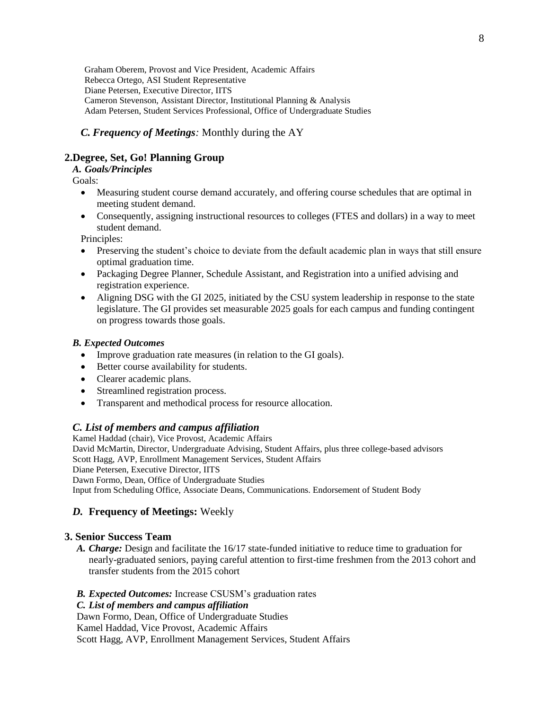Graham Oberem, Provost and Vice President, Academic Affairs Rebecca Ortego, ASI Student Representative Diane Petersen, Executive Director, IITS Cameron Stevenson, Assistant Director, Institutional Planning & Analysis Adam Petersen, Student Services Professional, Office of Undergraduate Studies

## *C. Frequency of Meetings:* Monthly during the AY

# **2.Degree, Set, Go! Planning Group**

### *A. Goals/Principles*

Goals:

- Measuring student course demand accurately, and offering course schedules that are optimal in meeting student demand.
- Consequently, assigning instructional resources to colleges (FTES and dollars) in a way to meet student demand.

Principles:

- Preserving the student's choice to deviate from the default academic plan in ways that still ensure optimal graduation time.
- Packaging Degree Planner, Schedule Assistant, and Registration into a unified advising and registration experience.
- Aligning DSG with the GI 2025, initiated by the CSU system leadership in response to the state legislature. The GI provides set measurable 2025 goals for each campus and funding contingent on progress towards those goals.

### *B. Expected Outcomes*

- Improve graduation rate measures (in relation to the GI goals).
- Better course availability for students.
- Clearer academic plans.
- Streamlined registration process.
- Transparent and methodical process for resource allocation.

### *C. List of members and campus affiliation*

Kamel Haddad (chair), Vice Provost, Academic Affairs David McMartin, Director, Undergraduate Advising, Student Affairs, plus three college-based advisors Scott Hagg, AVP, Enrollment Management Services, Student Affairs Diane Petersen, Executive Director, IITS Dawn Formo, Dean, Office of Undergraduate Studies

Input from Scheduling Office, Associate Deans, Communications. Endorsement of Student Body

### *D.* **Frequency of Meetings:** Weekly

### **3. Senior Success Team**

*A. Charge:* Design and facilitate the 16/17 state-funded initiative to reduce time to graduation for nearly-graduated seniors, paying careful attention to first-time freshmen from the 2013 cohort and transfer students from the 2015 cohort

### *B. Expected Outcomes:* Increase CSUSM's graduation rates

### *C. List of members and campus affiliation*

Dawn Formo, Dean, Office of Undergraduate Studies

Kamel Haddad, Vice Provost, Academic Affairs

Scott Hagg, AVP, Enrollment Management Services, Student Affairs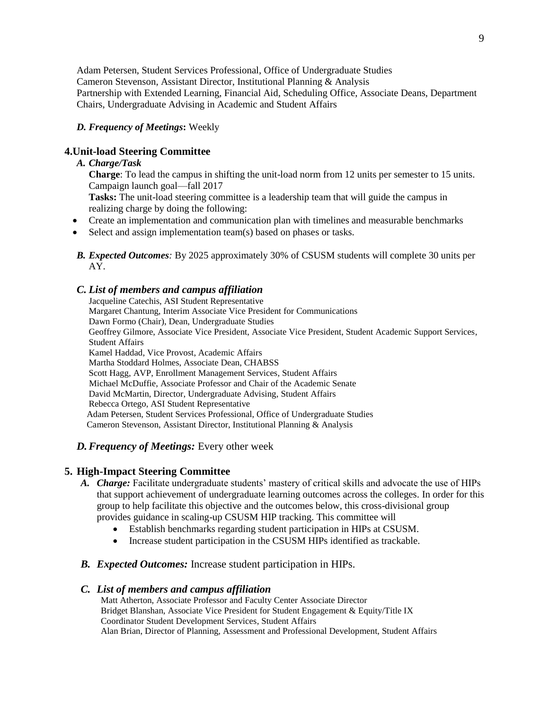Adam Petersen, Student Services Professional, Office of Undergraduate Studies Cameron Stevenson, Assistant Director, Institutional Planning & Analysis Partnership with Extended Learning, Financial Aid, Scheduling Office, Associate Deans, Department Chairs, Undergraduate Advising in Academic and Student Affairs

*D. Frequency of Meetings***:** Weekly

# **4.Unit-load Steering Committee**

### *A. Charge/Task*

**Charge:** To lead the campus in shifting the unit-load norm from 12 units per semester to 15 units. Campaign launch goal—fall 2017

**Tasks:** The unit-load steering committee is a leadership team that will guide the campus in realizing charge by doing the following:

- Create an implementation and communication plan with timelines and measurable benchmarks
- Select and assign implementation team(s) based on phases or tasks.
- *B. Expected Outcomes:* By 2025 approximately 30% of CSUSM students will complete 30 units per AY.

### *C. List of members and campus affiliation*

Jacqueline Catechis, ASI Student Representative Margaret Chantung, Interim Associate Vice President for Communications Dawn Formo (Chair), Dean, Undergraduate Studies Geoffrey Gilmore, Associate Vice President, Associate Vice President, Student Academic Support Services, Student Affairs Kamel Haddad, Vice Provost, Academic Affairs Martha Stoddard Holmes, Associate Dean, CHABSS Scott Hagg, AVP, Enrollment Management Services, Student Affairs Michael McDuffie, Associate Professor and Chair of the Academic Senate David McMartin, Director, Undergraduate Advising, Student Affairs Rebecca Ortego, ASI Student Representative Adam Petersen, Student Services Professional, Office of Undergraduate Studies Cameron Stevenson, Assistant Director, Institutional Planning & Analysis

### *D.Frequency of Meetings:* Every other week

### **5. High-Impact Steering Committee**

- *A. Charge:* Facilitate undergraduate students' mastery of critical skills and advocate the use of HIPs that support achievement of undergraduate learning outcomes across the colleges. In order for this group to help facilitate this objective and the outcomes below, this cross-divisional group provides guidance in scaling-up CSUSM HIP tracking. This committee will
	- Establish benchmarks regarding student participation in HIPs at CSUSM.
	- Increase student participation in the CSUSM HIPs identified as trackable.
- *B. Expected Outcomes:* Increase student participation in HIPs.

### *C. List of members and campus affiliation*

Matt Atherton, Associate Professor and Faculty Center Associate Director Bridget Blanshan, Associate Vice President for Student Engagement & Equity/Title IX Coordinator Student Development Services, Student Affairs Alan Brian, Director of Planning, Assessment and Professional Development, Student Affairs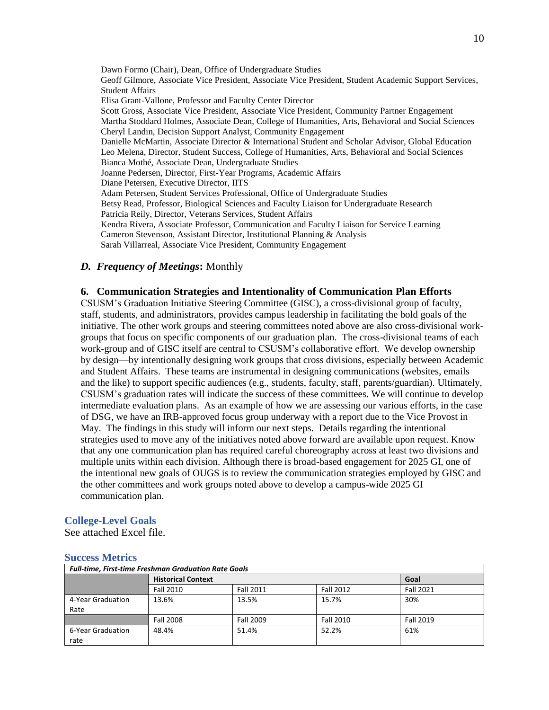Dawn Formo (Chair), Dean, Office of Undergraduate Studies Geoff Gilmore, Associate Vice President, Associate Vice President, Student Academic Support Services, Student Affairs Elisa Grant-Vallone, Professor and Faculty Center Director Scott Gross, Associate Vice President, Associate Vice President, Community Partner Engagement Martha Stoddard Holmes, Associate Dean, College of Humanities, Arts, Behavioral and Social Sciences Cheryl Landin, Decision Support Analyst, Community Engagement Danielle McMartin, Associate Director & International Student and Scholar Advisor, Global Education Leo Melena, Director, Student Success, College of Humanities, Arts, Behavioral and Social Sciences Bianca Mothé, Associate Dean, Undergraduate Studies Joanne Pedersen, Director, First-Year Programs, Academic Affairs Diane Petersen, Executive Director, IITS Adam Petersen, Student Services Professional, Office of Undergraduate Studies Betsy Read, Professor, Biological Sciences and Faculty Liaison for Undergraduate Research Patricia Reily, Director, Veterans Services, Student Affairs Kendra Rivera, Associate Professor, Communication and Faculty Liaison for Service Learning Cameron Stevenson, Assistant Director, Institutional Planning & Analysis Sarah Villarreal, Associate Vice President, Community Engagement

### *D. Frequency of Meetings***:** Monthly

#### **6. Communication Strategies and Intentionality of Communication Plan Efforts**

CSUSM's Graduation Initiative Steering Committee (GISC), a cross-divisional group of faculty, staff, students, and administrators, provides campus leadership in facilitating the bold goals of the initiative. The other work groups and steering committees noted above are also cross-divisional workgroups that focus on specific components of our graduation plan. The cross-divisional teams of each work-group and of GISC itself are central to CSUSM's collaborative effort. We develop ownership by design—by intentionally designing work groups that cross divisions, especially between Academic and Student Affairs. These teams are instrumental in designing communications (websites, emails and the like) to support specific audiences (e.g., students, faculty, staff, parents/guardian). Ultimately, CSUSM's graduation rates will indicate the success of these committees. We will continue to develop intermediate evaluation plans. As an example of how we are assessing our various efforts, in the case of DSG, we have an IRB-approved focus group underway with a report due to the Vice Provost in May. The findings in this study will inform our next steps. Details regarding the intentional strategies used to move any of the initiatives noted above forward are available upon request. Know that any one communication plan has required careful choreography across at least two divisions and multiple units within each division. Although there is broad-based engagement for 2025 GI, one of the intentional new goals of OUGS is to review the communication strategies employed by GISC and the other committees and work groups noted above to develop a campus-wide 2025 GI communication plan.

#### **College-Level Goals**

See attached Excel file.

#### **Success Metrics**

| <b>Full-time, First-time Freshman Graduation Rate Goals</b> |                           |                  |                  |           |  |
|-------------------------------------------------------------|---------------------------|------------------|------------------|-----------|--|
|                                                             | <b>Historical Context</b> | Goal             |                  |           |  |
|                                                             | <b>Fall 2010</b>          | <b>Fall 2011</b> | <b>Fall 2012</b> | Fall 2021 |  |
| 4-Year Graduation                                           | 13.6%                     | 13.5%            | 15.7%            | 30%       |  |
| Rate                                                        |                           |                  |                  |           |  |
|                                                             | <b>Fall 2008</b>          | Fall 2009        | Fall 2010        | Fall 2019 |  |
| 6-Year Graduation                                           | 48.4%                     | 51.4%            | 52.2%            | 61%       |  |
| rate                                                        |                           |                  |                  |           |  |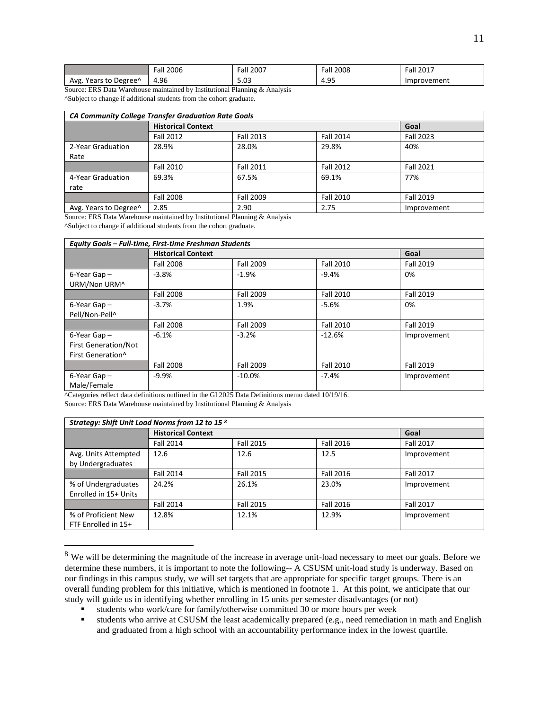|                              | $\overline{\phantom{a}}$<br>2006<br>Fall | 2007<br>™all | 2008<br>Fall | 2017<br>Fall |
|------------------------------|------------------------------------------|--------------|--------------|--------------|
| Years to Degree <sup>^</sup> | 4.96                                     | $\sim$       | -QF          | งrovement    |
| Avg                          |                                          | J.U3         | - 4.95       | Impr         |

Source: ERS Data Warehouse maintained by Institutional Planning & Analysis ^Subject to change if additional students from the cohort graduate.

| <b>CA Community College Transfer Graduation Rate Goals</b> |                           |                  |                  |                  |  |
|------------------------------------------------------------|---------------------------|------------------|------------------|------------------|--|
|                                                            | <b>Historical Context</b> | Goal             |                  |                  |  |
|                                                            | Fall 2012                 | <b>Fall 2013</b> | <b>Fall 2014</b> | <b>Fall 2023</b> |  |
| 2-Year Graduation                                          | 28.9%                     | 28.0%            | 29.8%            | 40%              |  |
| Rate                                                       |                           |                  |                  |                  |  |
|                                                            | <b>Fall 2010</b>          | <b>Fall 2011</b> | <b>Fall 2012</b> | <b>Fall 2021</b> |  |
| 4-Year Graduation                                          | 69.3%                     | 67.5%            | 69.1%            | 77%              |  |
| rate                                                       |                           |                  |                  |                  |  |
|                                                            | <b>Fall 2008</b>          | Fall 2009        | <b>Fall 2010</b> | <b>Fall 2019</b> |  |
| Avg. Years to Degree <sup>^</sup>                          | 2.85                      | 2.90             | 2.75             | Improvement      |  |

Source: ERS Data Warehouse maintained by Institutional Planning & Analysis

^Subject to change if additional students from the cohort graduate.

 $\overline{a}$ 

| Equity Goals - Full-time, First-time Freshman Students |                           |           |                  |             |
|--------------------------------------------------------|---------------------------|-----------|------------------|-------------|
|                                                        | <b>Historical Context</b> | Goal      |                  |             |
|                                                        | <b>Fall 2008</b>          | Fall 2009 | <b>Fall 2010</b> | Fall 2019   |
| $6$ -Year Gap $-$                                      | $-3.8%$                   | $-1.9%$   | $-9.4%$          | 0%          |
| URM/Non URM^                                           |                           |           |                  |             |
|                                                        | <b>Fall 2008</b>          | Fall 2009 | <b>Fall 2010</b> | Fall 2019   |
| $6$ -Year Gap $-$                                      | $-3.7%$                   | 1.9%      | $-5.6%$          | 0%          |
| Pell/Non-Pell^                                         |                           |           |                  |             |
|                                                        | <b>Fall 2008</b>          | Fall 2009 | Fall 2010        | Fall 2019   |
| $6$ -Year Gap $-$                                      | $-6.1%$                   | $-3.2%$   | $-12.6%$         | Improvement |
| <b>First Generation/Not</b>                            |                           |           |                  |             |
| First Generation <sup>^</sup>                          |                           |           |                  |             |
|                                                        | <b>Fall 2008</b>          | Fall 2009 | <b>Fall 2010</b> | Fall 2019   |
| $6$ -Year Gap $-$                                      | $-9.9%$                   | $-10.0\%$ | $-7.4%$          | Improvement |
| Male/Female                                            |                           |           |                  |             |

^Categories reflect data definitions outlined in the GI 2025 Data Definitions memo dated 10/19/16. Source: ERS Data Warehouse maintained by Institutional Planning & Analysis

| Strategy: Shift Unit Load Norms from 12 to 15 8 |                           |                  |                  |                  |  |  |
|-------------------------------------------------|---------------------------|------------------|------------------|------------------|--|--|
|                                                 | <b>Historical Context</b> |                  |                  |                  |  |  |
|                                                 | Fall 2014                 | <b>Fall 2015</b> | <b>Fall 2016</b> | <b>Fall 2017</b> |  |  |
| Avg. Units Attempted<br>by Undergraduates       | 12.6                      | 12.6             | 12.5             | Improvement      |  |  |
|                                                 | <b>Fall 2014</b>          | <b>Fall 2015</b> | <b>Fall 2016</b> | <b>Fall 2017</b> |  |  |
| % of Undergraduates<br>Enrolled in 15+ Units    | 24.2%                     | 26.1%            | 23.0%            | Improvement      |  |  |
|                                                 | <b>Fall 2014</b>          | <b>Fall 2015</b> | <b>Fall 2016</b> | <b>Fall 2017</b> |  |  |
| % of Proficient New<br>FTF Enrolled in 15+      | 12.8%                     | 12.1%            | 12.9%            | Improvement      |  |  |

<sup>&</sup>lt;sup>8</sup> We will be determining the magnitude of the increase in average unit-load necessary to meet our goals. Before we determine these numbers, it is important to note the following-- A CSUSM unit-load study is underway. Based on our findings in this campus study, we will set targets that are appropriate for specific target groups. There is an overall funding problem for this initiative, which is mentioned in footnote 1. At this point, we anticipate that our study will guide us in identifying whether enrolling in 15 units per semester disadvantages (or not)

students who work/care for family/otherwise committed 30 or more hours per week

students who arrive at CSUSM the least academically prepared (e.g., need remediation in math and English and graduated from a high school with an accountability performance index in the lowest quartile.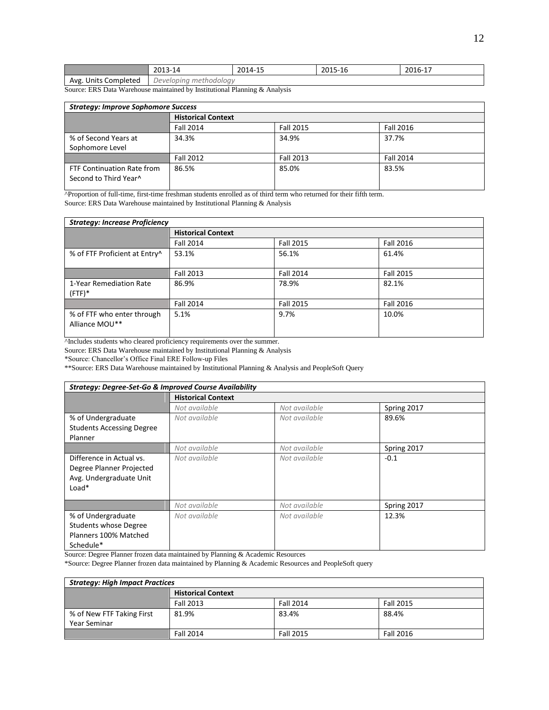|                      | 2013-14                | 2014-15 | 2015-16 | 2016-17 |
|----------------------|------------------------|---------|---------|---------|
| Avg. Units Completed | Developing methodology |         |         |         |

Source: ERS Data Warehouse maintained by Institutional Planning & Analysis

| <b>Strategy: Improve Sophomore Success</b>          |                           |           |                  |  |  |
|-----------------------------------------------------|---------------------------|-----------|------------------|--|--|
|                                                     | <b>Historical Context</b> |           |                  |  |  |
|                                                     | <b>Fall 2014</b>          | Fall 2015 | Fall 2016        |  |  |
| % of Second Years at                                | 34.3%                     | 34.9%     | 37.7%            |  |  |
| Sophomore Level                                     |                           |           |                  |  |  |
|                                                     | Fall 2012                 | Fall 2013 | <b>Fall 2014</b> |  |  |
| FTF Continuation Rate from<br>Second to Third Year^ | 86.5%                     | 85.0%     | 83.5%            |  |  |

^Proportion of full-time, first-time freshman students enrolled as of third term who returned for their fifth term.

Source: ERS Data Warehouse maintained by Institutional Planning & Analysis

| <b>Strategy: Increase Proficiency</b>        |                           |                  |                  |  |  |  |
|----------------------------------------------|---------------------------|------------------|------------------|--|--|--|
|                                              | <b>Historical Context</b> |                  |                  |  |  |  |
|                                              | <b>Fall 2014</b>          | <b>Fall 2015</b> | Fall 2016        |  |  |  |
| % of FTF Proficient at Entry^                | 53.1%                     | 56.1%            | 61.4%            |  |  |  |
|                                              | <b>Fall 2013</b>          | <b>Fall 2014</b> | <b>Fall 2015</b> |  |  |  |
| 1-Year Remediation Rate<br>$(FTF)*$          | 86.9%                     | 78.9%            | 82.1%            |  |  |  |
|                                              | <b>Fall 2014</b>          | <b>Fall 2015</b> | Fall 2016        |  |  |  |
| % of FTF who enter through<br>Alliance MOU** | 5.1%                      | 9.7%             | 10.0%            |  |  |  |

^Includes students who cleared proficiency requirements over the summer.

Source: ERS Data Warehouse maintained by Institutional Planning & Analysis

\*Source: Chancellor's Office Final ERE Follow-up Files

\*\*Source: ERS Data Warehouse maintained by Institutional Planning & Analysis and PeopleSoft Query

| <b>Strategy: Degree-Set-Go &amp; Improved Course Availability</b>                          |                           |               |             |  |  |
|--------------------------------------------------------------------------------------------|---------------------------|---------------|-------------|--|--|
|                                                                                            | <b>Historical Context</b> |               |             |  |  |
|                                                                                            | Not available             | Not available | Spring 2017 |  |  |
| % of Undergraduate<br><b>Students Accessing Degree</b>                                     | Not available             | Not available | 89.6%       |  |  |
| Planner                                                                                    |                           |               |             |  |  |
|                                                                                            | Not available             | Not available | Spring 2017 |  |  |
| Difference in Actual vs.<br>Degree Planner Projected<br>Avg. Undergraduate Unit<br>$Load*$ | Not available             | Not available | $-0.1$      |  |  |
|                                                                                            | Not available             | Not available | Spring 2017 |  |  |
| % of Undergraduate<br><b>Students whose Degree</b><br>Planners 100% Matched<br>Schedule*   | Not available             | Not available | 12.3%       |  |  |

Source: Degree Planner frozen data maintained by Planning & Academic Resources

\*Source: Degree Planner frozen data maintained by Planning & Academic Resources and PeopleSoft query

| <b>Strategy: High Impact Practices</b> |                           |                  |           |  |  |
|----------------------------------------|---------------------------|------------------|-----------|--|--|
|                                        | <b>Historical Context</b> |                  |           |  |  |
|                                        | Fall 2013                 | Fall 2014        | Fall 2015 |  |  |
| % of New FTF Taking First              | 81.9%                     | 83.4%            | 88.4%     |  |  |
| Year Seminar                           |                           |                  |           |  |  |
|                                        | <b>Fall 2014</b>          | <b>Fall 2015</b> | Fall 2016 |  |  |